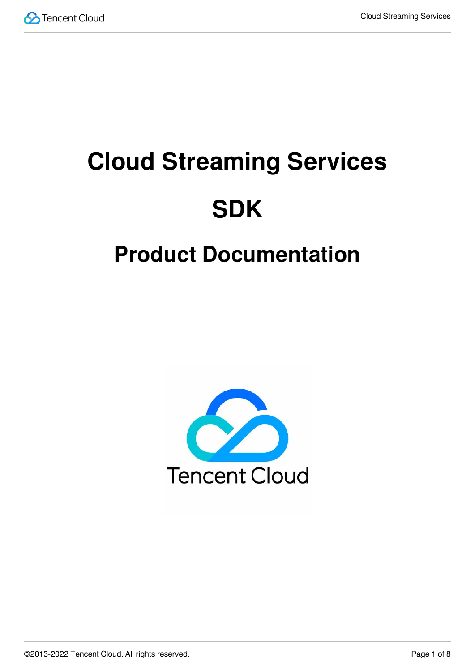

# **Cloud Streaming Services SDK**

# **Product Documentation**

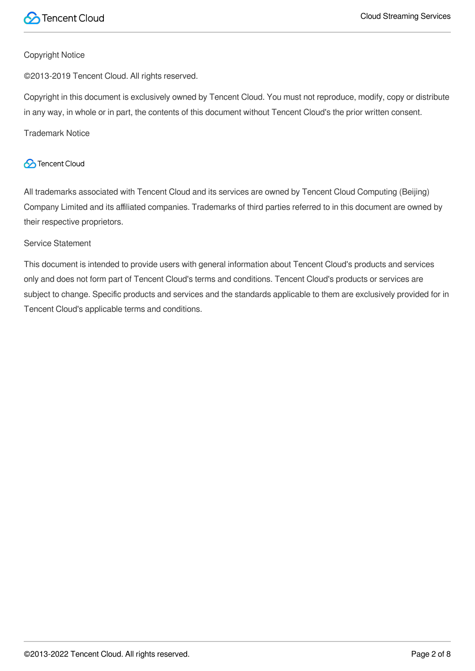

#### Copyright Notice

©2013-2019 Tencent Cloud. All rights reserved.

Copyright in this document is exclusively owned by Tencent Cloud. You must not reproduce, modify, copy or distribute in any way, in whole or in part, the contents of this document without Tencent Cloud's the prior written consent.

Trademark Notice

#### **C** Tencent Cloud

All trademarks associated with Tencent Cloud and its services are owned by Tencent Cloud Computing (Beijing) Company Limited and its affiliated companies. Trademarks of third parties referred to in this document are owned by their respective proprietors.

#### Service Statement

This document is intended to provide users with general information about Tencent Cloud's products and services only and does not form part of Tencent Cloud's terms and conditions. Tencent Cloud's products or services are subject to change. Specific products and services and the standards applicable to them are exclusively provided for in Tencent Cloud's applicable terms and conditions.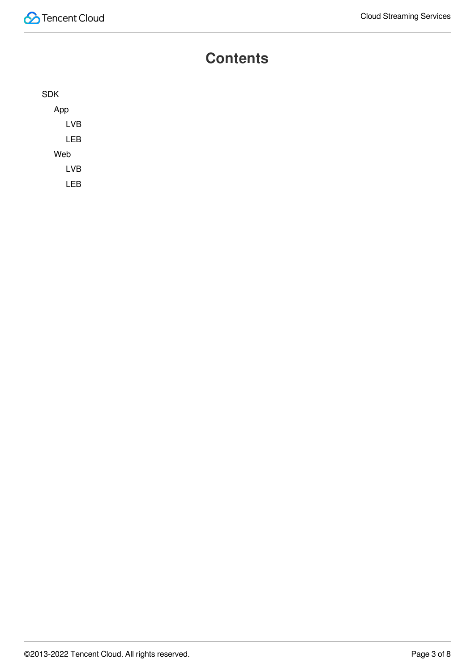#### **Contents**

| <b>SDK</b> |  |
|------------|--|
| App        |  |
| <b>LVB</b> |  |
| <b>LEB</b> |  |
| Web        |  |
| <b>LVB</b> |  |
| LEB        |  |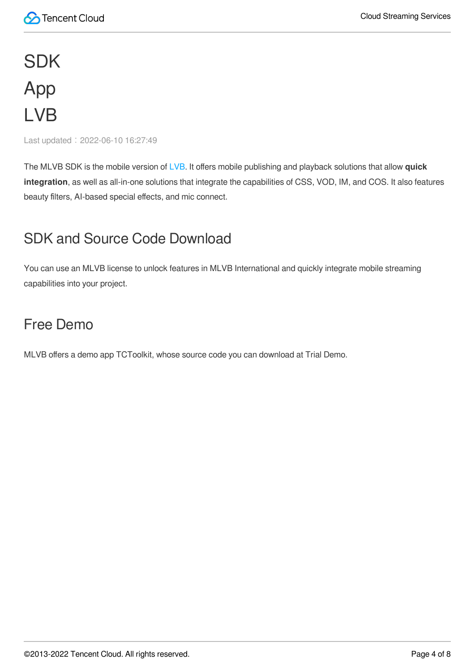# <span id="page-3-1"></span><span id="page-3-0"></span>**SDK** App LVB

<span id="page-3-2"></span>Last updated: 2022-06-10 16:27:49

The MLVB SDK is the mobile version of [LVB.](https://intl.cloud.tencent.com/product/css) It offers mobile publishing and playback solutions that allow **quick integration**, as well as all-in-one solutions that integrate the capabilities of CSS, VOD, IM, and COS. It also features beauty filters, AI-based special effects, and mic connect.

#### SDK and Source Code Download

You can use an MLVB license to unlock features in MLVB International and quickly integrate mobile streaming capabilities into your project.

#### Free Demo

MLVB offers a demo app TCToolkit, whose source code you can download at Trial Demo.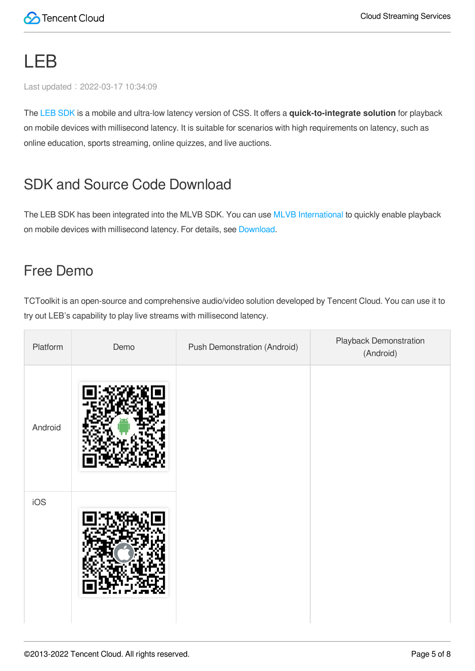## <span id="page-4-0"></span>LEB

Last updated: 2022-03-17 10:34:09

The LEB [SDK](https://intl.cloud.tencent.com/document/product/1071/41875) is a mobile and ultra-low latency version of CSS. It offers a **quick-to-integrate solution** for playback on mobile devices with millisecond latency. It is suitable for scenarios with high requirements on latency, such as online education, sports streaming, online quizzes, and live auctions.

#### SDK and Source Code Download

The LEB SDK has been integrated into the MLVB SDK. You can use MLVB [International](https://intl.cloud.tencent.com/document/product/1071/38150) to quickly enable playback on mobile devices with millisecond latency. For details, see [Download.](https://intl.cloud.tencent.com/document/product/1071/38150)

#### Free Demo

TCToolkit is an open-source and comprehensive audio/video solution developed by Tencent Cloud. You can use it to try out LEB's capability to play live streams with millisecond latency.

| Platform | Demo | <b>Push Demonstration (Android)</b> | Playback Demonstration<br>(Android) |
|----------|------|-------------------------------------|-------------------------------------|
| Android  |      |                                     |                                     |
| iOS      |      |                                     |                                     |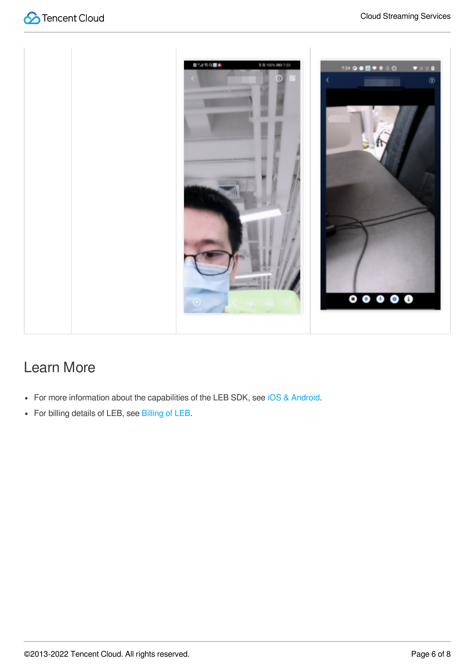



### Learn More

- For more information about the capabilities of the LEB SDK, see iOS & [Android](https://intl.cloud.tencent.com/document/product/1071/41875).
- For billing details of LEB, see [Billing](https://intl.cloud.tencent.com/document/product/267/39969) of LEB.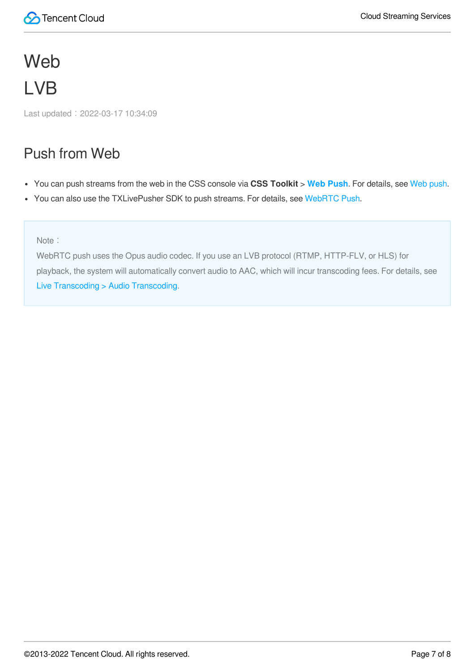# <span id="page-6-1"></span><span id="page-6-0"></span>Web LVB

Last updated:2022-03-17 10:34:09

#### Push from Web

- You can push streams from the web in the CSS console via **CSS Toolkit** > **Web [Push](https://console.cloud.tencent.com/live/tools/webpush)**. For details, see Web [push](https://intl.cloud.tencent.com/document/product/267/31558#web).
- You can also use the TXLivePusher SDK to push streams. For details, see [WebRTC](https://intl.cloud.tencent.com/document/product/267/41620) Push.

Note:

WebRTC push uses the Opus audio codec. If you use an LVB protocol (RTMP, HTTP-FLV, or HLS) for playback, the system will automatically convert audio to AAC, which will incur transcoding fees. For details, see Live [Transcoding](https://intl.cloud.tencent.com/document/product/267/39604#a_trans) > Audio Transcoding.